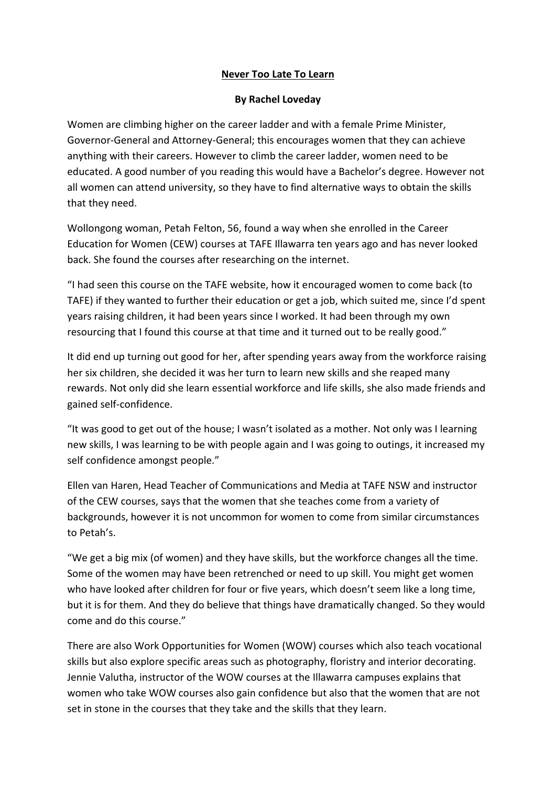## **Never Too Late To Learn**

## **By Rachel Loveday**

Women are climbing higher on the career ladder and with a female Prime Minister, Governor-General and Attorney-General; this encourages women that they can achieve anything with their careers. However to climb the career ladder, women need to be educated. A good number of you reading this would have a Bachelor's degree. However not all women can attend university, so they have to find alternative ways to obtain the skills that they need.

Wollongong woman, Petah Felton, 56, found a way when she enrolled in the Career Education for Women (CEW) courses at TAFE Illawarra ten years ago and has never looked back. She found the courses after researching on the internet.

"I had seen this course on the TAFE website, how it encouraged women to come back (to TAFE) if they wanted to further their education or get a job, which suited me, since I'd spent years raising children, it had been years since I worked. It had been through my own resourcing that I found this course at that time and it turned out to be really good."

It did end up turning out good for her, after spending years away from the workforce raising her six children, she decided it was her turn to learn new skills and she reaped many rewards. Not only did she learn essential workforce and life skills, she also made friends and gained self-confidence.

"It was good to get out of the house; I wasn't isolated as a mother. Not only was I learning new skills, I was learning to be with people again and I was going to outings, it increased my self confidence amongst people."

Ellen van Haren, Head Teacher of Communications and Media at TAFE NSW and instructor of the CEW courses, says that the women that she teaches come from a variety of backgrounds, however it is not uncommon for women to come from similar circumstances to Petah's.

"We get a big mix (of women) and they have skills, but the workforce changes all the time. Some of the women may have been retrenched or need to up skill. You might get women who have looked after children for four or five years, which doesn't seem like a long time, but it is for them. And they do believe that things have dramatically changed. So they would come and do this course."

There are also Work Opportunities for Women (WOW) courses which also teach vocational skills but also explore specific areas such as photography, floristry and interior decorating. Jennie Valutha, instructor of the WOW courses at the Illawarra campuses explains that women who take WOW courses also gain confidence but also that the women that are not set in stone in the courses that they take and the skills that they learn.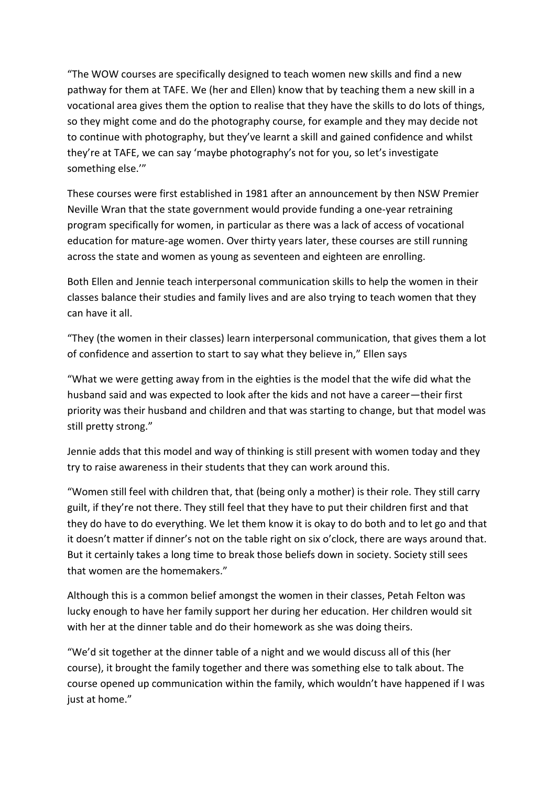"The WOW courses are specifically designed to teach women new skills and find a new pathway for them at TAFE. We (her and Ellen) know that by teaching them a new skill in a vocational area gives them the option to realise that they have the skills to do lots of things, so they might come and do the photography course, for example and they may decide not to continue with photography, but they've learnt a skill and gained confidence and whilst they're at TAFE, we can say 'maybe photography's not for you, so let's investigate something else.'"

These courses were first established in 1981 after an announcement by then NSW Premier Neville Wran that the state government would provide funding a one-year retraining program specifically for women, in particular as there was a lack of access of vocational education for mature-age women. Over thirty years later, these courses are still running across the state and women as young as seventeen and eighteen are enrolling.

Both Ellen and Jennie teach interpersonal communication skills to help the women in their classes balance their studies and family lives and are also trying to teach women that they can have it all.

"They (the women in their classes) learn interpersonal communication, that gives them a lot of confidence and assertion to start to say what they believe in," Ellen says

"What we were getting away from in the eighties is the model that the wife did what the husband said and was expected to look after the kids and not have a career—their first priority was their husband and children and that was starting to change, but that model was still pretty strong."

Jennie adds that this model and way of thinking is still present with women today and they try to raise awareness in their students that they can work around this.

"Women still feel with children that, that (being only a mother) is their role. They still carry guilt, if they're not there. They still feel that they have to put their children first and that they do have to do everything. We let them know it is okay to do both and to let go and that it doesn't matter if dinner's not on the table right on six o'clock, there are ways around that. But it certainly takes a long time to break those beliefs down in society. Society still sees that women are the homemakers."

Although this is a common belief amongst the women in their classes, Petah Felton was lucky enough to have her family support her during her education. Her children would sit with her at the dinner table and do their homework as she was doing theirs.

"We'd sit together at the dinner table of a night and we would discuss all of this (her course), it brought the family together and there was something else to talk about. The course opened up communication within the family, which wouldn't have happened if I was just at home."